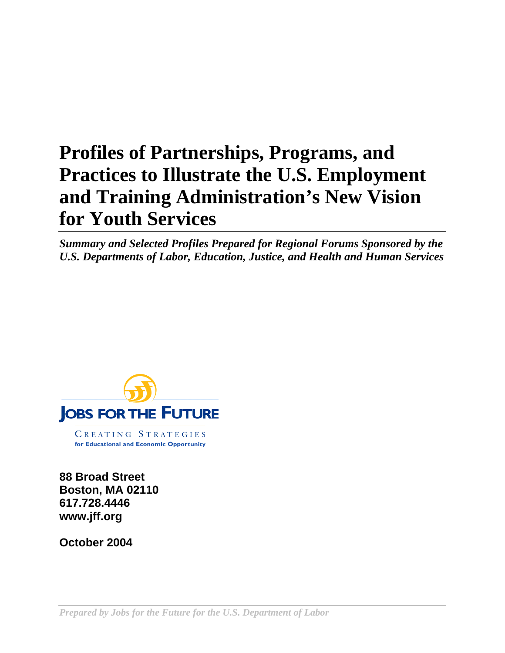# **Profiles of Partnerships, Programs, and Practices to Illustrate the U.S. Employment and Training Administration's New Vision for Youth Services**

*Summary and Selected Profiles Prepared for Regional Forums Sponsored by the U.S. Departments of Labor, Education, Justice, and Health and Human Services*



**88 Broad Street Boston, MA 02110 617.728.4446 www.jff.org**

**October 2004**

*Prepared by Jobs for the Future for the U.S. Department of Labor*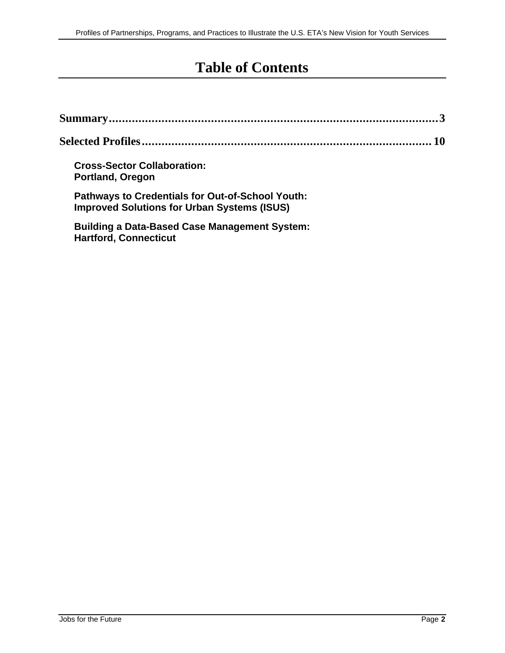# **Table of Contents**

| <b>Cross-Sector Collaboration:</b><br><b>Portland, Oregon</b>                                                 |  |
|---------------------------------------------------------------------------------------------------------------|--|
| <b>Pathways to Credentials for Out-of-School Youth:</b><br><b>Improved Solutions for Urban Systems (ISUS)</b> |  |
| <b>Building a Data-Based Case Management System:</b><br><b>Hartford, Connecticut</b>                          |  |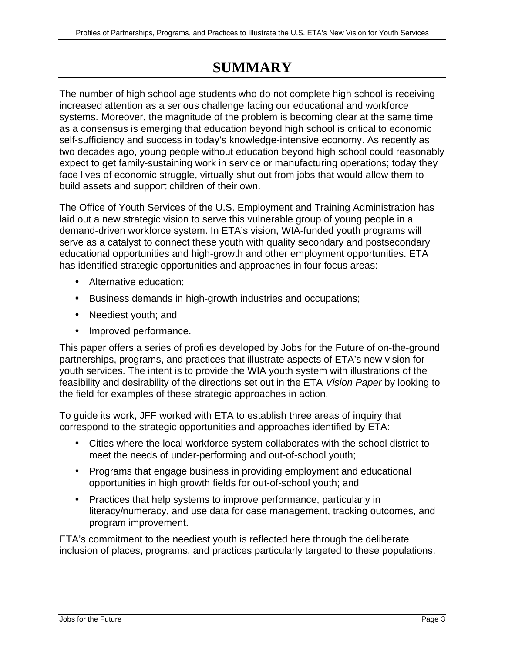# **SUMMARY**

The number of high school age students who do not complete high school is receiving increased attention as a serious challenge facing our educational and workforce systems. Moreover, the magnitude of the problem is becoming clear at the same time as a consensus is emerging that education beyond high school is critical to economic self-sufficiency and success in today's knowledge-intensive economy. As recently as two decades ago, young people without education beyond high school could reasonably expect to get family-sustaining work in service or manufacturing operations; today they face lives of economic struggle, virtually shut out from jobs that would allow them to build assets and support children of their own.

The Office of Youth Services of the U.S. Employment and Training Administration has laid out a new strategic vision to serve this vulnerable group of young people in a demand-driven workforce system. In ETA's vision, WIA-funded youth programs will serve as a catalyst to connect these youth with quality secondary and postsecondary educational opportunities and high-growth and other employment opportunities. ETA has identified strategic opportunities and approaches in four focus areas:

- Alternative education;
- Business demands in high-growth industries and occupations;
- Neediest youth; and
- Improved performance.

This paper offers a series of profiles developed by Jobs for the Future of on-the-ground partnerships, programs, and practices that illustrate aspects of ETA's new vision for youth services. The intent is to provide the WIA youth system with illustrations of the feasibility and desirability of the directions set out in the ETA Vision Paper by looking to the field for examples of these strategic approaches in action.

To guide its work, JFF worked with ETA to establish three areas of inquiry that correspond to the strategic opportunities and approaches identified by ETA:

- Cities where the local workforce system collaborates with the school district to meet the needs of under-performing and out-of-school youth;
- Programs that engage business in providing employment and educational opportunities in high growth fields for out-of-school youth; and
- Practices that help systems to improve performance, particularly in literacy/numeracy, and use data for case management, tracking outcomes, and program improvement.

ETA's commitment to the neediest youth is reflected here through the deliberate inclusion of places, programs, and practices particularly targeted to these populations.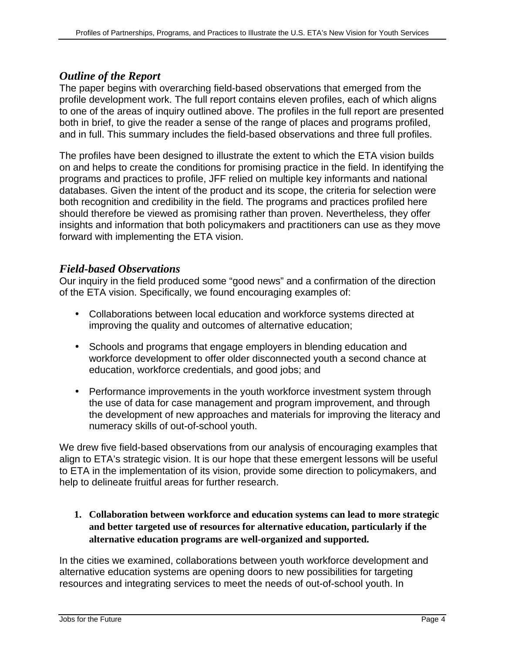### *Outline of the Report*

The paper begins with overarching field-based observations that emerged from the profile development work. The full report contains eleven profiles, each of which aligns to one of the areas of inquiry outlined above. The profiles in the full report are presented both in brief, to give the reader a sense of the range of places and programs profiled, and in full. This summary includes the field-based observations and three full profiles.

The profiles have been designed to illustrate the extent to which the ETA vision builds on and helps to create the conditions for promising practice in the field. In identifying the programs and practices to profile, JFF relied on multiple key informants and national databases. Given the intent of the product and its scope, the criteria for selection were both recognition and credibility in the field. The programs and practices profiled here should therefore be viewed as promising rather than proven. Nevertheless, they offer insights and information that both policymakers and practitioners can use as they move forward with implementing the ETA vision.

# *Field-based Observations*

Our inquiry in the field produced some "good news" and a confirmation of the direction of the ETA vision. Specifically, we found encouraging examples of:

- Collaborations between local education and workforce systems directed at improving the quality and outcomes of alternative education;
- Schools and programs that engage employers in blending education and workforce development to offer older disconnected youth a second chance at education, workforce credentials, and good jobs; and
- Performance improvements in the youth workforce investment system through the use of data for case management and program improvement, and through the development of new approaches and materials for improving the literacy and numeracy skills of out-of-school youth.

We drew five field-based observations from our analysis of encouraging examples that align to ETA's strategic vision. It is our hope that these emergent lessons will be useful to ETA in the implementation of its vision, provide some direction to policymakers, and help to delineate fruitful areas for further research.

**1. Collaboration between workforce and education systems can lead to more strategic and better targeted use of resources for alternative education, particularly if the alternative education programs are well-organized and supported.**

In the cities we examined, collaborations between youth workforce development and alternative education systems are opening doors to new possibilities for targeting resources and integrating services to meet the needs of out-of-school youth. In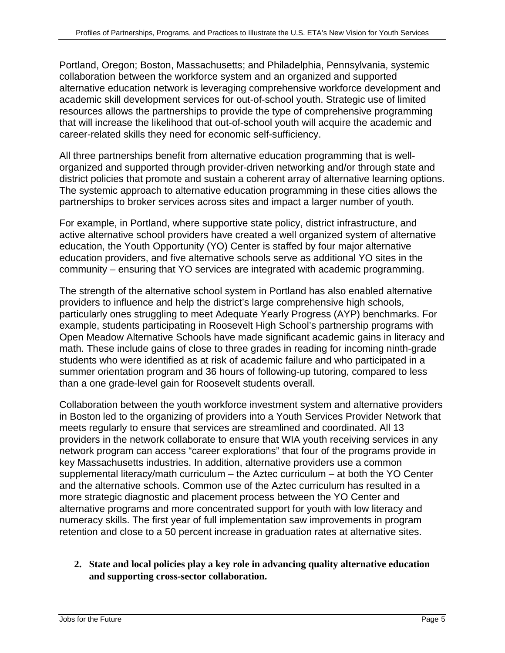Portland, Oregon; Boston, Massachusetts; and Philadelphia, Pennsylvania, systemic collaboration between the workforce system and an organized and supported alternative education network is leveraging comprehensive workforce development and academic skill development services for out-of-school youth. Strategic use of limited resources allows the partnerships to provide the type of comprehensive programming that will increase the likelihood that out-of-school youth will acquire the academic and career-related skills they need for economic self-sufficiency.

All three partnerships benefit from alternative education programming that is wellorganized and supported through provider-driven networking and/or through state and district policies that promote and sustain a coherent array of alternative learning options. The systemic approach to alternative education programming in these cities allows the partnerships to broker services across sites and impact a larger number of youth.

For example, in Portland, where supportive state policy, district infrastructure, and active alternative school providers have created a well organized system of alternative education, the Youth Opportunity (YO) Center is staffed by four major alternative education providers, and five alternative schools serve as additional YO sites in the community – ensuring that YO services are integrated with academic programming.

The strength of the alternative school system in Portland has also enabled alternative providers to influence and help the district's large comprehensive high schools, particularly ones struggling to meet Adequate Yearly Progress (AYP) benchmarks. For example, students participating in Roosevelt High School's partnership programs with Open Meadow Alternative Schools have made significant academic gains in literacy and math. These include gains of close to three grades in reading for incoming ninth-grade students who were identified as at risk of academic failure and who participated in a summer orientation program and 36 hours of following-up tutoring, compared to less than a one grade-level gain for Roosevelt students overall.

Collaboration between the youth workforce investment system and alternative providers in Boston led to the organizing of providers into a Youth Services Provider Network that meets regularly to ensure that services are streamlined and coordinated. All 13 providers in the network collaborate to ensure that WIA youth receiving services in any network program can access "career explorations" that four of the programs provide in key Massachusetts industries. In addition, alternative providers use a common supplemental literacy/math curriculum – the Aztec curriculum – at both the YO Center and the alternative schools. Common use of the Aztec curriculum has resulted in a more strategic diagnostic and placement process between the YO Center and alternative programs and more concentrated support for youth with low literacy and numeracy skills. The first year of full implementation saw improvements in program retention and close to a 50 percent increase in graduation rates at alternative sites.

**2. State and local policies play a key role in advancing quality alternative education and supporting cross-sector collaboration.**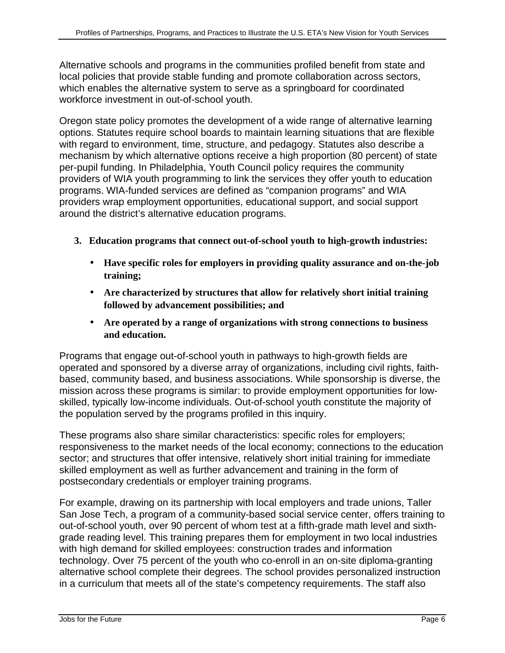Alternative schools and programs in the communities profiled benefit from state and local policies that provide stable funding and promote collaboration across sectors, which enables the alternative system to serve as a springboard for coordinated workforce investment in out-of-school youth.

Oregon state policy promotes the development of a wide range of alternative learning options. Statutes require school boards to maintain learning situations that are flexible with regard to environment, time, structure, and pedagogy. Statutes also describe a mechanism by which alternative options receive a high proportion (80 percent) of state per-pupil funding. In Philadelphia, Youth Council policy requires the community providers of WIA youth programming to link the services they offer youth to education programs. WIA-funded services are defined as "companion programs" and WIA providers wrap employment opportunities, educational support, and social support around the district's alternative education programs.

- **3. Education programs that connect out-of-school youth to high-growth industries:**
	- **Have specific roles for employers in providing quality assurance and on-the-job training;**
	- **Are characterized by structures that allow for relatively short initial training followed by advancement possibilities; and**
	- **Are operated by a range of organizations with strong connections to business and education.**

Programs that engage out-of-school youth in pathways to high-growth fields are operated and sponsored by a diverse array of organizations, including civil rights, faithbased, community based, and business associations. While sponsorship is diverse, the mission across these programs is similar: to provide employment opportunities for lowskilled, typically low-income individuals. Out-of-school youth constitute the majority of the population served by the programs profiled in this inquiry.

These programs also share similar characteristics: specific roles for employers; responsiveness to the market needs of the local economy; connections to the education sector; and structures that offer intensive, relatively short initial training for immediate skilled employment as well as further advancement and training in the form of postsecondary credentials or employer training programs.

For example, drawing on its partnership with local employers and trade unions, Taller San Jose Tech, a program of a community-based social service center, offers training to out-of-school youth, over 90 percent of whom test at a fifth-grade math level and sixthgrade reading level. This training prepares them for employment in two local industries with high demand for skilled employees: construction trades and information technology. Over 75 percent of the youth who co-enroll in an on-site diploma-granting alternative school complete their degrees. The school provides personalized instruction in a curriculum that meets all of the state's competency requirements. The staff also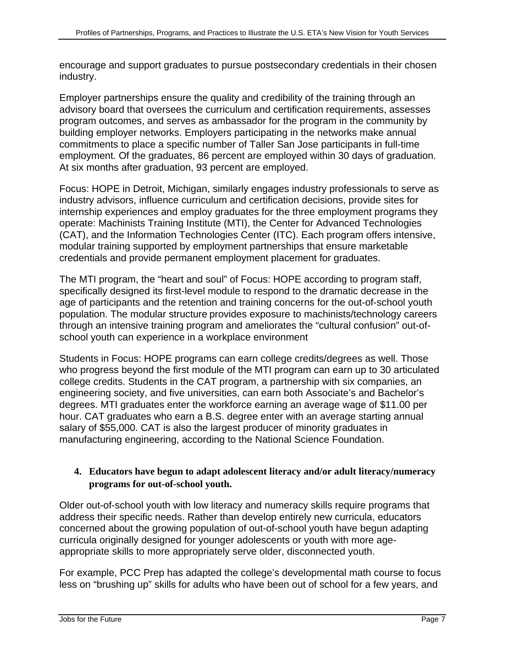encourage and support graduates to pursue postsecondary credentials in their chosen industry.

Employer partnerships ensure the quality and credibility of the training through an advisory board that oversees the curriculum and certification requirements, assesses program outcomes, and serves as ambassador for the program in the community by building employer networks. Employers participating in the networks make annual commitments to place a specific number of Taller San Jose participants in full-time employment. Of the graduates, 86 percent are employed within 30 days of graduation. At six months after graduation, 93 percent are employed.

Focus: HOPE in Detroit, Michigan, similarly engages industry professionals to serve as industry advisors, influence curriculum and certification decisions, provide sites for internship experiences and employ graduates for the three employment programs they operate: Machinists Training Institute (MTI), the Center for Advanced Technologies (CAT), and the Information Technologies Center (ITC). Each program offers intensive, modular training supported by employment partnerships that ensure marketable credentials and provide permanent employment placement for graduates.

The MTI program, the "heart and soul" of Focus: HOPE according to program staff, specifically designed its first-level module to respond to the dramatic decrease in the age of participants and the retention and training concerns for the out-of-school youth population. The modular structure provides exposure to machinists/technology careers through an intensive training program and ameliorates the "cultural confusion" out-ofschool youth can experience in a workplace environment

Students in Focus: HOPE programs can earn college credits/degrees as well. Those who progress beyond the first module of the MTI program can earn up to 30 articulated college credits. Students in the CAT program, a partnership with six companies, an engineering society, and five universities, can earn both Associate's and Bachelor's degrees. MTI graduates enter the workforce earning an average wage of \$11.00 per hour. CAT graduates who earn a B.S. degree enter with an average starting annual salary of \$55,000. CAT is also the largest producer of minority graduates in manufacturing engineering, according to the National Science Foundation.

#### **4. Educators have begun to adapt adolescent literacy and/or adult literacy/numeracy programs for out-of-school youth.**

Older out-of-school youth with low literacy and numeracy skills require programs that address their specific needs. Rather than develop entirely new curricula, educators concerned about the growing population of out-of-school youth have begun adapting curricula originally designed for younger adolescents or youth with more ageappropriate skills to more appropriately serve older, disconnected youth.

For example, PCC Prep has adapted the college's developmental math course to focus less on "brushing up" skills for adults who have been out of school for a few years, and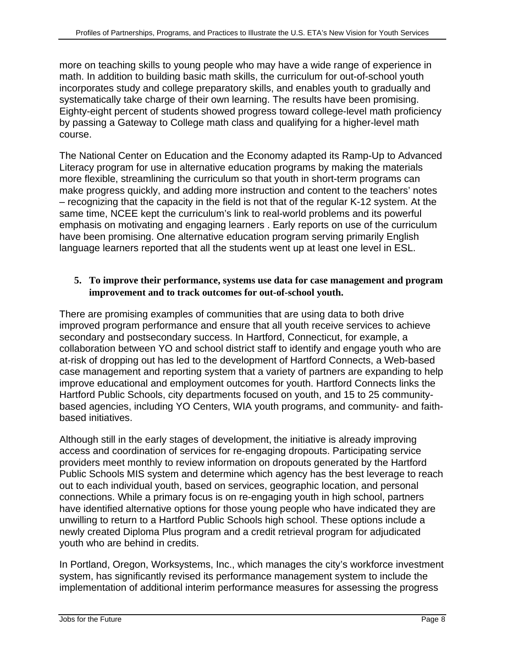more on teaching skills to young people who may have a wide range of experience in math. In addition to building basic math skills, the curriculum for out-of-school youth incorporates study and college preparatory skills, and enables youth to gradually and systematically take charge of their own learning. The results have been promising. Eighty-eight percent of students showed progress toward college-level math proficiency by passing a Gateway to College math class and qualifying for a higher-level math course.

The National Center on Education and the Economy adapted its Ramp-Up to Advanced Literacy program for use in alternative education programs by making the materials more flexible, streamlining the curriculum so that youth in short-term programs can make progress quickly, and adding more instruction and content to the teachers' notes – recognizing that the capacity in the field is not that of the regular K-12 system. At the same time, NCEE kept the curriculum's link to real-world problems and its powerful emphasis on motivating and engaging learners . Early reports on use of the curriculum have been promising. One alternative education program serving primarily English language learners reported that all the students went up at least one level in ESL.

#### **5. To improve their performance, systems use data for case management and program improvement and to track outcomes for out-of-school youth.**

There are promising examples of communities that are using data to both drive improved program performance and ensure that all youth receive services to achieve secondary and postsecondary success. In Hartford, Connecticut, for example, a collaboration between YO and school district staff to identify and engage youth who are at-risk of dropping out has led to the development of Hartford Connects, a Web-based case management and reporting system that a variety of partners are expanding to help improve educational and employment outcomes for youth. Hartford Connects links the Hartford Public Schools, city departments focused on youth, and 15 to 25 communitybased agencies, including YO Centers, WIA youth programs, and community- and faithbased initiatives.

Although still in the early stages of development, the initiative is already improving access and coordination of services for re-engaging dropouts. Participating service providers meet monthly to review information on dropouts generated by the Hartford Public Schools MIS system and determine which agency has the best leverage to reach out to each individual youth, based on services, geographic location, and personal connections. While a primary focus is on re-engaging youth in high school, partners have identified alternative options for those young people who have indicated they are unwilling to return to a Hartford Public Schools high school. These options include a newly created Diploma Plus program and a credit retrieval program for adjudicated youth who are behind in credits.

In Portland, Oregon, Worksystems, Inc., which manages the city's workforce investment system, has significantly revised its performance management system to include the implementation of additional interim performance measures for assessing the progress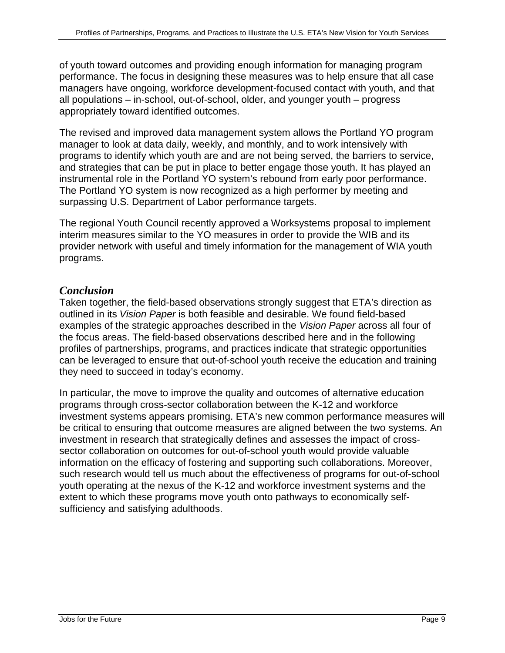of youth toward outcomes and providing enough information for managing program performance. The focus in designing these measures was to help ensure that all case managers have ongoing, workforce development-focused contact with youth, and that all populations – in-school, out-of-school, older, and younger youth – progress appropriately toward identified outcomes.

The revised and improved data management system allows the Portland YO program manager to look at data daily, weekly, and monthly, and to work intensively with programs to identify which youth are and are not being served, the barriers to service, and strategies that can be put in place to better engage those youth. It has played an instrumental role in the Portland YO system's rebound from early poor performance. The Portland YO system is now recognized as a high performer by meeting and surpassing U.S. Department of Labor performance targets.

The regional Youth Council recently approved a Worksystems proposal to implement interim measures similar to the YO measures in order to provide the WIB and its provider network with useful and timely information for the management of WIA youth programs.

#### *Conclusion*

Taken together, the field-based observations strongly suggest that ETA's direction as outlined in its Vision Paper is both feasible and desirable. We found field-based examples of the strategic approaches described in the Vision Paper across all four of the focus areas. The field-based observations described here and in the following profiles of partnerships, programs, and practices indicate that strategic opportunities can be leveraged to ensure that out-of-school youth receive the education and training they need to succeed in today's economy.

In particular, the move to improve the quality and outcomes of alternative education programs through cross-sector collaboration between the K-12 and workforce investment systems appears promising. ETA's new common performance measures will be critical to ensuring that outcome measures are aligned between the two systems. An investment in research that strategically defines and assesses the impact of crosssector collaboration on outcomes for out-of-school youth would provide valuable information on the efficacy of fostering and supporting such collaborations. Moreover, such research would tell us much about the effectiveness of programs for out-of-school youth operating at the nexus of the K-12 and workforce investment systems and the extent to which these programs move youth onto pathways to economically selfsufficiency and satisfying adulthoods.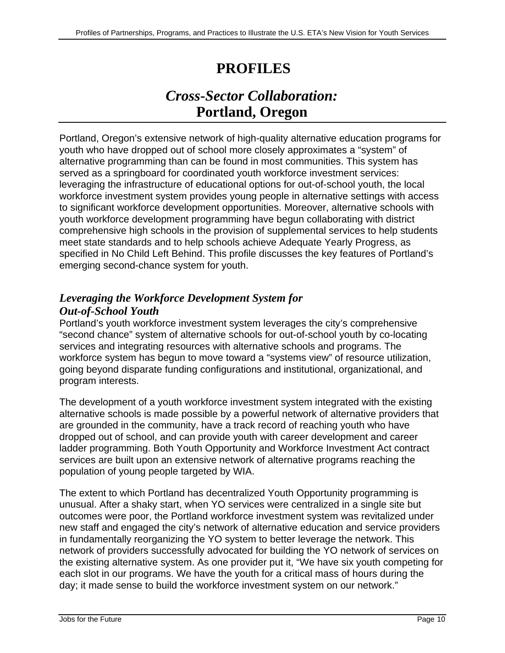# **PROFILES**

# *Cross-Sector Collaboration:* **Portland, Oregon**

Portland, Oregon's extensive network of high-quality alternative education programs for youth who have dropped out of school more closely approximates a "system" of alternative programming than can be found in most communities. This system has served as a springboard for coordinated youth workforce investment services: leveraging the infrastructure of educational options for out-of-school youth, the local workforce investment system provides young people in alternative settings with access to significant workforce development opportunities. Moreover, alternative schools with youth workforce development programming have begun collaborating with district comprehensive high schools in the provision of supplemental services to help students meet state standards and to help schools achieve Adequate Yearly Progress, as specified in No Child Left Behind. This profile discusses the key features of Portland's emerging second-chance system for youth.

# *Leveraging the Workforce Development System for Out-of-School Youth*

Portland's youth workforce investment system leverages the city's comprehensive "second chance" system of alternative schools for out-of-school youth by co-locating services and integrating resources with alternative schools and programs. The workforce system has begun to move toward a "systems view" of resource utilization, going beyond disparate funding configurations and institutional, organizational, and program interests.

The development of a youth workforce investment system integrated with the existing alternative schools is made possible by a powerful network of alternative providers that are grounded in the community, have a track record of reaching youth who have dropped out of school, and can provide youth with career development and career ladder programming. Both Youth Opportunity and Workforce Investment Act contract services are built upon an extensive network of alternative programs reaching the population of young people targeted by WIA.

The extent to which Portland has decentralized Youth Opportunity programming is unusual. After a shaky start, when YO services were centralized in a single site but outcomes were poor, the Portland workforce investment system was revitalized under new staff and engaged the city's network of alternative education and service providers in fundamentally reorganizing the YO system to better leverage the network. This network of providers successfully advocated for building the YO network of services on the existing alternative system. As one provider put it, "We have six youth competing for each slot in our programs. We have the youth for a critical mass of hours during the day; it made sense to build the workforce investment system on our network."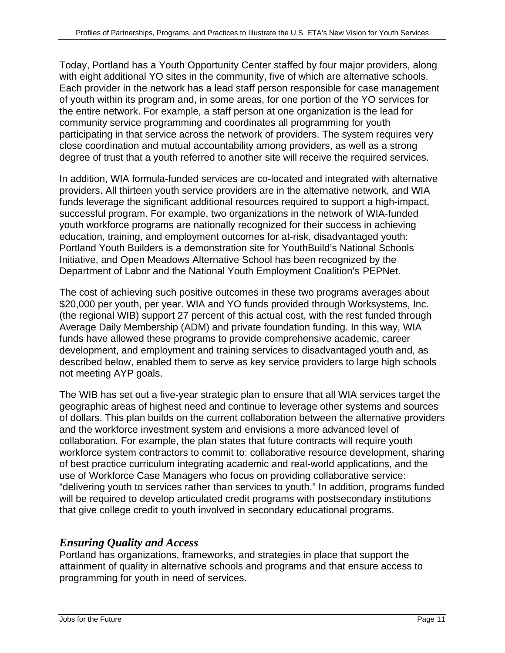Today, Portland has a Youth Opportunity Center staffed by four major providers, along with eight additional YO sites in the community, five of which are alternative schools. Each provider in the network has a lead staff person responsible for case management of youth within its program and, in some areas, for one portion of the YO services for the entire network. For example, a staff person at one organization is the lead for community service programming and coordinates all programming for youth participating in that service across the network of providers. The system requires very close coordination and mutual accountability among providers, as well as a strong degree of trust that a youth referred to another site will receive the required services.

In addition, WIA formula-funded services are co-located and integrated with alternative providers. All thirteen youth service providers are in the alternative network, and WIA funds leverage the significant additional resources required to support a high-impact, successful program. For example, two organizations in the network of WIA-funded youth workforce programs are nationally recognized for their success in achieving education, training, and employment outcomes for at-risk, disadvantaged youth: Portland Youth Builders is a demonstration site for YouthBuild's National Schools Initiative, and Open Meadows Alternative School has been recognized by the Department of Labor and the National Youth Employment Coalition's PEPNet.

The cost of achieving such positive outcomes in these two programs averages about \$20,000 per youth, per year. WIA and YO funds provided through Worksystems, Inc. (the regional WIB) support 27 percent of this actual cost, with the rest funded through Average Daily Membership (ADM) and private foundation funding. In this way, WIA funds have allowed these programs to provide comprehensive academic, career development, and employment and training services to disadvantaged youth and, as described below, enabled them to serve as key service providers to large high schools not meeting AYP goals.

The WIB has set out a five-year strategic plan to ensure that all WIA services target the geographic areas of highest need and continue to leverage other systems and sources of dollars. This plan builds on the current collaboration between the alternative providers and the workforce investment system and envisions a more advanced level of collaboration. For example, the plan states that future contracts will require youth workforce system contractors to commit to: collaborative resource development, sharing of best practice curriculum integrating academic and real-world applications, and the use of Workforce Case Managers who focus on providing collaborative service: "delivering youth to services rather than services to youth." In addition, programs funded will be required to develop articulated credit programs with postsecondary institutions that give college credit to youth involved in secondary educational programs.

# *Ensuring Quality and Access*

Portland has organizations, frameworks, and strategies in place that support the attainment of quality in alternative schools and programs and that ensure access to programming for youth in need of services.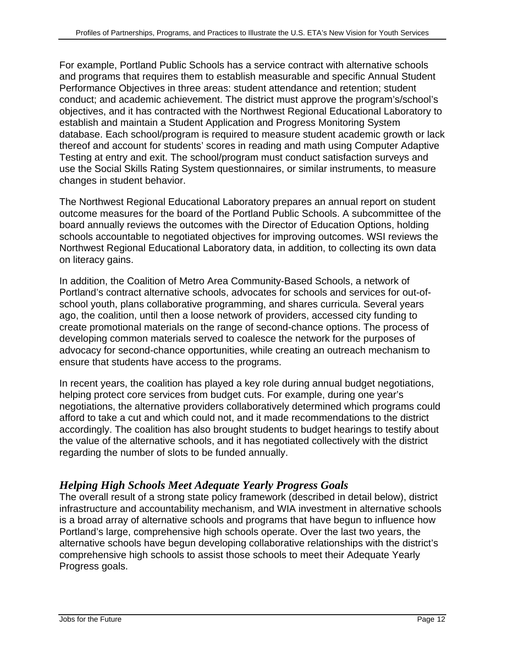For example, Portland Public Schools has a service contract with alternative schools and programs that requires them to establish measurable and specific Annual Student Performance Objectives in three areas: student attendance and retention; student conduct; and academic achievement. The district must approve the program's/school's objectives, and it has contracted with the Northwest Regional Educational Laboratory to establish and maintain a Student Application and Progress Monitoring System database. Each school/program is required to measure student academic growth or lack thereof and account for students' scores in reading and math using Computer Adaptive Testing at entry and exit. The school/program must conduct satisfaction surveys and use the Social Skills Rating System questionnaires, or similar instruments, to measure changes in student behavior.

The Northwest Regional Educational Laboratory prepares an annual report on student outcome measures for the board of the Portland Public Schools. A subcommittee of the board annually reviews the outcomes with the Director of Education Options, holding schools accountable to negotiated objectives for improving outcomes. WSI reviews the Northwest Regional Educational Laboratory data, in addition, to collecting its own data on literacy gains.

In addition, the Coalition of Metro Area Community-Based Schools, a network of Portland's contract alternative schools, advocates for schools and services for out-ofschool youth, plans collaborative programming, and shares curricula. Several years ago, the coalition, until then a loose network of providers, accessed city funding to create promotional materials on the range of second-chance options. The process of developing common materials served to coalesce the network for the purposes of advocacy for second-chance opportunities, while creating an outreach mechanism to ensure that students have access to the programs.

In recent years, the coalition has played a key role during annual budget negotiations, helping protect core services from budget cuts. For example, during one year's negotiations, the alternative providers collaboratively determined which programs could afford to take a cut and which could not, and it made recommendations to the district accordingly. The coalition has also brought students to budget hearings to testify about the value of the alternative schools, and it has negotiated collectively with the district regarding the number of slots to be funded annually.

# *Helping High Schools Meet Adequate Yearly Progress Goals*

The overall result of a strong state policy framework (described in detail below), district infrastructure and accountability mechanism, and WIA investment in alternative schools is a broad array of alternative schools and programs that have begun to influence how Portland's large, comprehensive high schools operate. Over the last two years, the alternative schools have begun developing collaborative relationships with the district's comprehensive high schools to assist those schools to meet their Adequate Yearly Progress goals.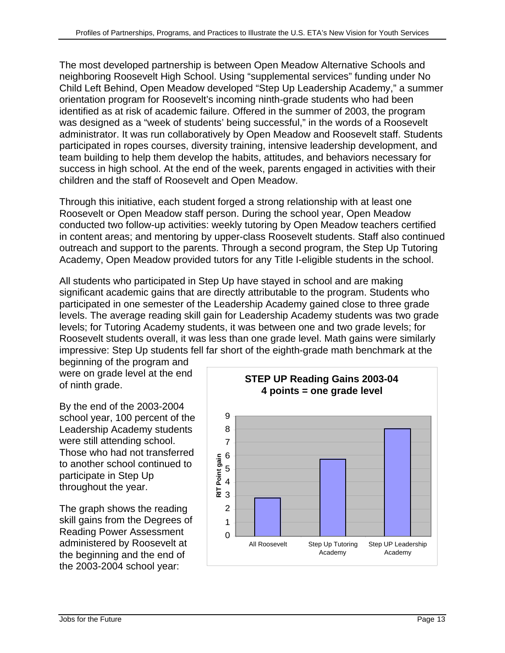The most developed partnership is between Open Meadow Alternative Schools and neighboring Roosevelt High School. Using "supplemental services" funding under No Child Left Behind, Open Meadow developed "Step Up Leadership Academy," a summer orientation program for Roosevelt's incoming ninth-grade students who had been identified as at risk of academic failure. Offered in the summer of 2003, the program was designed as a "week of students' being successful," in the words of a Roosevelt administrator. It was run collaboratively by Open Meadow and Roosevelt staff. Students participated in ropes courses, diversity training, intensive leadership development, and team building to help them develop the habits, attitudes, and behaviors necessary for success in high school. At the end of the week, parents engaged in activities with their children and the staff of Roosevelt and Open Meadow.

Through this initiative, each student forged a strong relationship with at least one Roosevelt or Open Meadow staff person. During the school year, Open Meadow conducted two follow-up activities: weekly tutoring by Open Meadow teachers certified in content areas; and mentoring by upper-class Roosevelt students. Staff also continued outreach and support to the parents. Through a second program, the Step Up Tutoring Academy, Open Meadow provided tutors for any Title I-eligible students in the school.

All students who participated in Step Up have stayed in school and are making significant academic gains that are directly attributable to the program. Students who participated in one semester of the Leadership Academy gained close to three grade levels. The average reading skill gain for Leadership Academy students was two grade levels; for Tutoring Academy students, it was between one and two grade levels; for Roosevelt students overall, it was less than one grade level. Math gains were similarly impressive: Step Up students fell far short of the eighth-grade math benchmark at the

beginning of the program and were on grade level at the end of ninth grade.

By the end of the 2003-2004 school year, 100 percent of the Leadership Academy students were still attending school. Those who had not transferred to another school continued to participate in Step Up throughout the year.

The graph shows the reading skill gains from the Degrees of Reading Power Assessment administered by Roosevelt at the beginning and the end of the 2003-2004 school year:

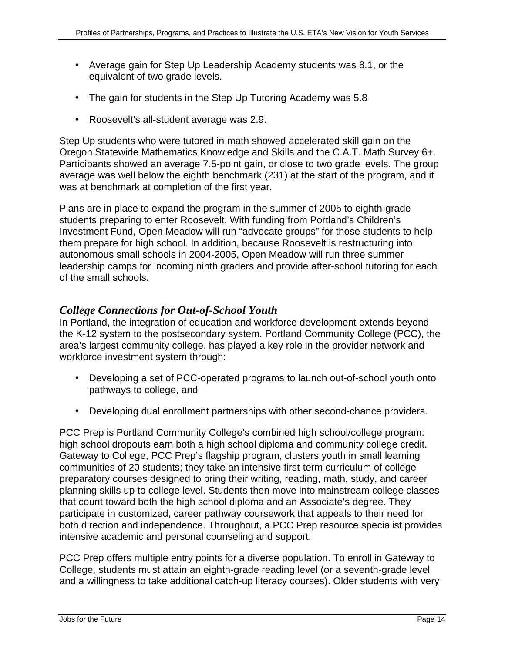- Average gain for Step Up Leadership Academy students was 8.1, or the equivalent of two grade levels.
- The gain for students in the Step Up Tutoring Academy was 5.8
- Roosevelt's all-student average was 2.9.

Step Up students who were tutored in math showed accelerated skill gain on the Oregon Statewide Mathematics Knowledge and Skills and the C.A.T. Math Survey 6+. Participants showed an average 7.5-point gain, or close to two grade levels. The group average was well below the eighth benchmark (231) at the start of the program, and it was at benchmark at completion of the first year.

Plans are in place to expand the program in the summer of 2005 to eighth-grade students preparing to enter Roosevelt. With funding from Portland's Children's Investment Fund, Open Meadow will run "advocate groups" for those students to help them prepare for high school. In addition, because Roosevelt is restructuring into autonomous small schools in 2004-2005, Open Meadow will run three summer leadership camps for incoming ninth graders and provide after-school tutoring for each of the small schools.

### *College Connections for Out-of-School Youth*

In Portland, the integration of education and workforce development extends beyond the K-12 system to the postsecondary system. Portland Community College (PCC), the area's largest community college, has played a key role in the provider network and workforce investment system through:

- Developing a set of PCC-operated programs to launch out-of-school youth onto pathways to college, and
- Developing dual enrollment partnerships with other second-chance providers.

PCC Prep is Portland Community College's combined high school/college program: high school dropouts earn both a high school diploma and community college credit. Gateway to College, PCC Prep's flagship program, clusters youth in small learning communities of 20 students; they take an intensive first-term curriculum of college preparatory courses designed to bring their writing, reading, math, study, and career planning skills up to college level. Students then move into mainstream college classes that count toward both the high school diploma and an Associate's degree. They participate in customized, career pathway coursework that appeals to their need for both direction and independence. Throughout, a PCC Prep resource specialist provides intensive academic and personal counseling and support.

PCC Prep offers multiple entry points for a diverse population. To enroll in Gateway to College, students must attain an eighth-grade reading level (or a seventh-grade level and a willingness to take additional catch-up literacy courses). Older students with very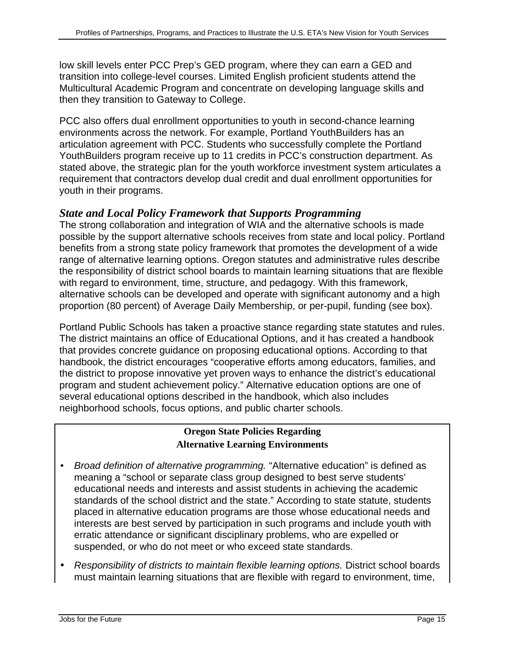low skill levels enter PCC Prep's GED program, where they can earn a GED and transition into college-level courses. Limited English proficient students attend the Multicultural Academic Program and concentrate on developing language skills and then they transition to Gateway to College.

PCC also offers dual enrollment opportunities to youth in second-chance learning environments across the network. For example, Portland YouthBuilders has an articulation agreement with PCC. Students who successfully complete the Portland YouthBuilders program receive up to 11 credits in PCC's construction department. As stated above, the strategic plan for the youth workforce investment system articulates a requirement that contractors develop dual credit and dual enrollment opportunities for youth in their programs.

### *State and Local Policy Framework that Supports Programming*

The strong collaboration and integration of WIA and the alternative schools is made possible by the support alternative schools receives from state and local policy. Portland benefits from a strong state policy framework that promotes the development of a wide range of alternative learning options. Oregon statutes and administrative rules describe the responsibility of district school boards to maintain learning situations that are flexible with regard to environment, time, structure, and pedagogy. With this framework, alternative schools can be developed and operate with significant autonomy and a high proportion (80 percent) of Average Daily Membership, or per-pupil, funding (see box).

Portland Public Schools has taken a proactive stance regarding state statutes and rules. The district maintains an office of Educational Options, and it has created a handbook that provides concrete guidance on proposing educational options. According to that handbook, the district encourages "cooperative efforts among educators, families, and the district to propose innovative yet proven ways to enhance the district's educational program and student achievement policy." Alternative education options are one of several educational options described in the handbook, which also includes neighborhood schools, focus options, and public charter schools.

#### **Oregon State Policies Regarding Alternative Learning Environments**

- Broad definition of alternative programming. "Alternative education" is defined as meaning a "school or separate class group designed to best serve students' educational needs and interests and assist students in achieving the academic standards of the school district and the state." According to state statute, students placed in alternative education programs are those whose educational needs and interests are best served by participation in such programs and include youth with erratic attendance or significant disciplinary problems, who are expelled or suspended, or who do not meet or who exceed state standards.
- Responsibility of districts to maintain flexible learning options. District school boards must maintain learning situations that are flexible with regard to environment, time,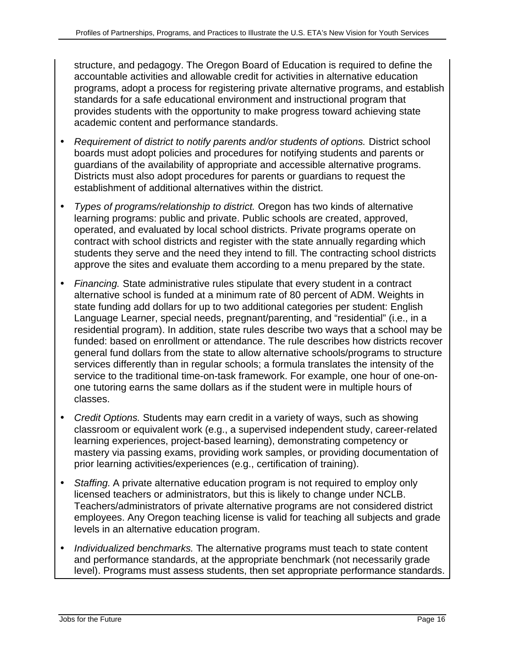structure, and pedagogy. The Oregon Board of Education is required to define the accountable activities and allowable credit for activities in alternative education programs, adopt a process for registering private alternative programs, and establish standards for a safe educational environment and instructional program that provides students with the opportunity to make progress toward achieving state academic content and performance standards.

- Requirement of district to notify parents and/or students of options. District school boards must adopt policies and procedures for notifying students and parents or guardians of the availability of appropriate and accessible alternative programs. Districts must also adopt procedures for parents or guardians to request the establishment of additional alternatives within the district.
- Types of programs/relationship to district. Oregon has two kinds of alternative learning programs: public and private. Public schools are created, approved, operated, and evaluated by local school districts. Private programs operate on contract with school districts and register with the state annually regarding which students they serve and the need they intend to fill. The contracting school districts approve the sites and evaluate them according to a menu prepared by the state.
- Financing. State administrative rules stipulate that every student in a contract alternative school is funded at a minimum rate of 80 percent of ADM. Weights in state funding add dollars for up to two additional categories per student: English Language Learner, special needs, pregnant/parenting, and "residential" (i.e., in a residential program). In addition, state rules describe two ways that a school may be funded: based on enrollment or attendance. The rule describes how districts recover general fund dollars from the state to allow alternative schools/programs to structure services differently than in regular schools; a formula translates the intensity of the service to the traditional time-on-task framework. For example, one hour of one-onone tutoring earns the same dollars as if the student were in multiple hours of classes.
- Credit Options. Students may earn credit in a variety of ways, such as showing classroom or equivalent work (e.g., a supervised independent study, career-related learning experiences, project-based learning), demonstrating competency or mastery via passing exams, providing work samples, or providing documentation of prior learning activities/experiences (e.g., certification of training).
- Staffing. A private alternative education program is not required to employ only licensed teachers or administrators, but this is likely to change under NCLB. Teachers/administrators of private alternative programs are not considered district employees. Any Oregon teaching license is valid for teaching all subjects and grade levels in an alternative education program.
- Individualized benchmarks. The alternative programs must teach to state content and performance standards, at the appropriate benchmark (not necessarily grade level). Programs must assess students, then set appropriate performance standards.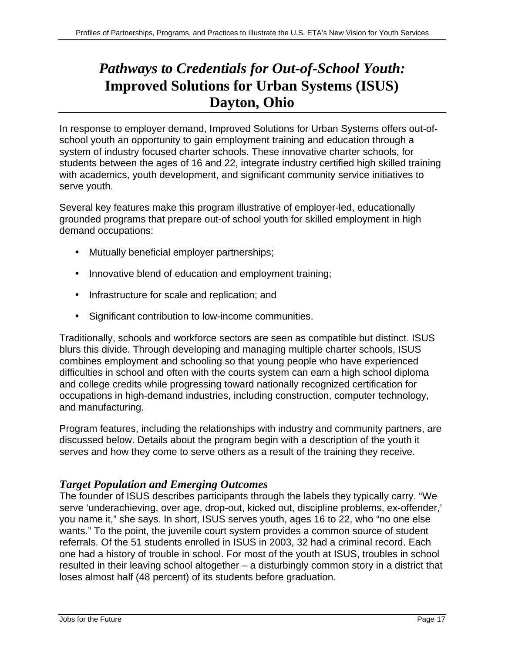# *Pathways to Credentials for Out-of-School Youth:* **Improved Solutions for Urban Systems (ISUS) Dayton, Ohio**

In response to employer demand, Improved Solutions for Urban Systems offers out-ofschool youth an opportunity to gain employment training and education through a system of industry focused charter schools. These innovative charter schools, for students between the ages of 16 and 22, integrate industry certified high skilled training with academics, youth development, and significant community service initiatives to serve youth.

Several key features make this program illustrative of employer-led, educationally grounded programs that prepare out-of school youth for skilled employment in high demand occupations:

- Mutually beneficial employer partnerships;
- Innovative blend of education and employment training;
- Infrastructure for scale and replication; and
- Significant contribution to low-income communities.

Traditionally, schools and workforce sectors are seen as compatible but distinct. ISUS blurs this divide. Through developing and managing multiple charter schools, ISUS combines employment and schooling so that young people who have experienced difficulties in school and often with the courts system can earn a high school diploma and college credits while progressing toward nationally recognized certification for occupations in high-demand industries, including construction, computer technology, and manufacturing.

Program features, including the relationships with industry and community partners, are discussed below. Details about the program begin with a description of the youth it serves and how they come to serve others as a result of the training they receive.

# *Target Population and Emerging Outcomes*

The founder of ISUS describes participants through the labels they typically carry. "We serve 'underachieving, over age, drop-out, kicked out, discipline problems, ex-offender,' you name it," she says. In short, ISUS serves youth, ages 16 to 22, who "no one else wants." To the point, the juvenile court system provides a common source of student referrals. Of the 51 students enrolled in ISUS in 2003, 32 had a criminal record. Each one had a history of trouble in school. For most of the youth at ISUS, troubles in school resulted in their leaving school altogether – a disturbingly common story in a district that loses almost half (48 percent) of its students before graduation.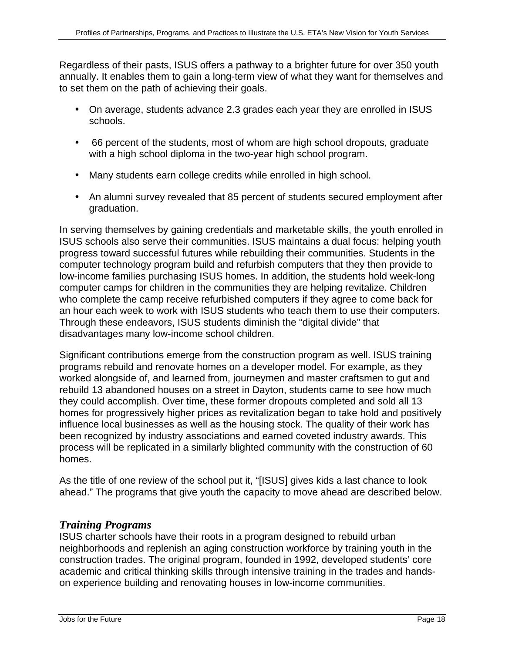Regardless of their pasts, ISUS offers a pathway to a brighter future for over 350 youth annually. It enables them to gain a long-term view of what they want for themselves and to set them on the path of achieving their goals.

- On average, students advance 2.3 grades each year they are enrolled in ISUS schools.
- 66 percent of the students, most of whom are high school dropouts, graduate with a high school diploma in the two-year high school program.
- Many students earn college credits while enrolled in high school.
- An alumni survey revealed that 85 percent of students secured employment after graduation.

In serving themselves by gaining credentials and marketable skills, the youth enrolled in ISUS schools also serve their communities. ISUS maintains a dual focus: helping youth progress toward successful futures while rebuilding their communities. Students in the computer technology program build and refurbish computers that they then provide to low-income families purchasing ISUS homes. In addition, the students hold week-long computer camps for children in the communities they are helping revitalize. Children who complete the camp receive refurbished computers if they agree to come back for an hour each week to work with ISUS students who teach them to use their computers. Through these endeavors, ISUS students diminish the "digital divide" that disadvantages many low-income school children.

Significant contributions emerge from the construction program as well. ISUS training programs rebuild and renovate homes on a developer model. For example, as they worked alongside of, and learned from, journeymen and master craftsmen to gut and rebuild 13 abandoned houses on a street in Dayton, students came to see how much they could accomplish. Over time, these former dropouts completed and sold all 13 homes for progressively higher prices as revitalization began to take hold and positively influence local businesses as well as the housing stock. The quality of their work has been recognized by industry associations and earned coveted industry awards. This process will be replicated in a similarly blighted community with the construction of 60 homes.

As the title of one review of the school put it, "[ISUS] gives kids a last chance to look ahead." The programs that give youth the capacity to move ahead are described below.

#### *Training Programs*

ISUS charter schools have their roots in a program designed to rebuild urban neighborhoods and replenish an aging construction workforce by training youth in the construction trades. The original program, founded in 1992, developed students' core academic and critical thinking skills through intensive training in the trades and handson experience building and renovating houses in low-income communities.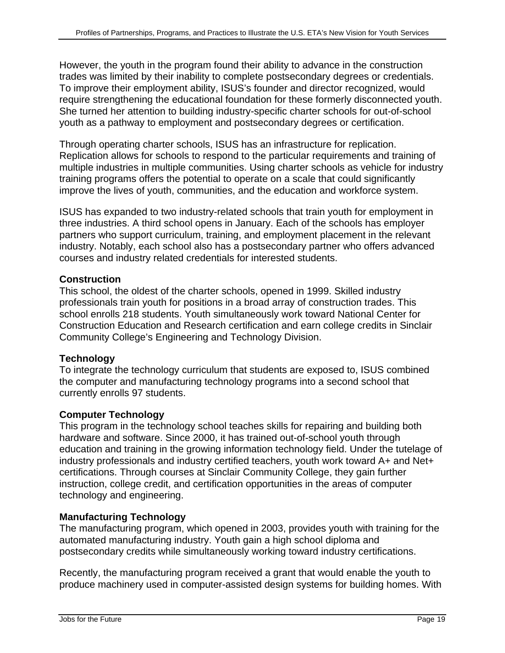However, the youth in the program found their ability to advance in the construction trades was limited by their inability to complete postsecondary degrees or credentials. To improve their employment ability, ISUS's founder and director recognized, would require strengthening the educational foundation for these formerly disconnected youth. She turned her attention to building industry-specific charter schools for out-of-school youth as a pathway to employment and postsecondary degrees or certification.

Through operating charter schools, ISUS has an infrastructure for replication. Replication allows for schools to respond to the particular requirements and training of multiple industries in multiple communities. Using charter schools as vehicle for industry training programs offers the potential to operate on a scale that could significantly improve the lives of youth, communities, and the education and workforce system.

ISUS has expanded to two industry-related schools that train youth for employment in three industries. A third school opens in January. Each of the schools has employer partners who support curriculum, training, and employment placement in the relevant industry. Notably, each school also has a postsecondary partner who offers advanced courses and industry related credentials for interested students.

#### **Construction**

This school, the oldest of the charter schools, opened in 1999. Skilled industry professionals train youth for positions in a broad array of construction trades. This school enrolls 218 students. Youth simultaneously work toward National Center for Construction Education and Research certification and earn college credits in Sinclair Community College's Engineering and Technology Division.

#### **Technology**

To integrate the technology curriculum that students are exposed to, ISUS combined the computer and manufacturing technology programs into a second school that currently enrolls 97 students.

#### **Computer Technology**

This program in the technology school teaches skills for repairing and building both hardware and software. Since 2000, it has trained out-of-school youth through education and training in the growing information technology field. Under the tutelage of industry professionals and industry certified teachers, youth work toward A+ and Net+ certifications. Through courses at Sinclair Community College, they gain further instruction, college credit, and certification opportunities in the areas of computer technology and engineering.

#### **Manufacturing Technology**

The manufacturing program, which opened in 2003, provides youth with training for the automated manufacturing industry. Youth gain a high school diploma and postsecondary credits while simultaneously working toward industry certifications.

Recently, the manufacturing program received a grant that would enable the youth to produce machinery used in computer-assisted design systems for building homes. With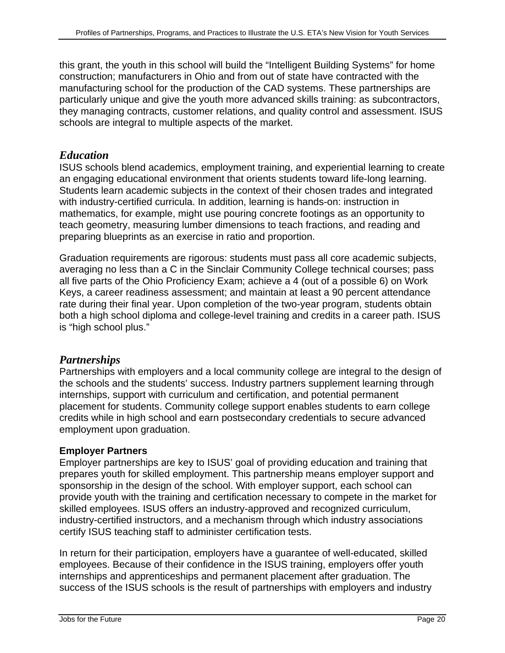this grant, the youth in this school will build the "Intelligent Building Systems" for home construction; manufacturers in Ohio and from out of state have contracted with the manufacturing school for the production of the CAD systems. These partnerships are particularly unique and give the youth more advanced skills training: as subcontractors, they managing contracts, customer relations, and quality control and assessment. ISUS schools are integral to multiple aspects of the market.

#### *Education*

ISUS schools blend academics, employment training, and experiential learning to create an engaging educational environment that orients students toward life-long learning. Students learn academic subjects in the context of their chosen trades and integrated with industry-certified curricula. In addition, learning is hands-on: instruction in mathematics, for example, might use pouring concrete footings as an opportunity to teach geometry, measuring lumber dimensions to teach fractions, and reading and preparing blueprints as an exercise in ratio and proportion.

Graduation requirements are rigorous: students must pass all core academic subjects, averaging no less than a C in the Sinclair Community College technical courses; pass all five parts of the Ohio Proficiency Exam; achieve a 4 (out of a possible 6) on Work Keys, a career readiness assessment; and maintain at least a 90 percent attendance rate during their final year. Upon completion of the two-year program, students obtain both a high school diploma and college-level training and credits in a career path. ISUS is "high school plus."

#### *Partnerships*

Partnerships with employers and a local community college are integral to the design of the schools and the students' success. Industry partners supplement learning through internships, support with curriculum and certification, and potential permanent placement for students. Community college support enables students to earn college credits while in high school and earn postsecondary credentials to secure advanced employment upon graduation.

#### **Employer Partners**

Employer partnerships are key to ISUS' goal of providing education and training that prepares youth for skilled employment. This partnership means employer support and sponsorship in the design of the school. With employer support, each school can provide youth with the training and certification necessary to compete in the market for skilled employees. ISUS offers an industry-approved and recognized curriculum, industry-certified instructors, and a mechanism through which industry associations certify ISUS teaching staff to administer certification tests.

In return for their participation, employers have a guarantee of well-educated, skilled employees. Because of their confidence in the ISUS training, employers offer youth internships and apprenticeships and permanent placement after graduation. The success of the ISUS schools is the result of partnerships with employers and industry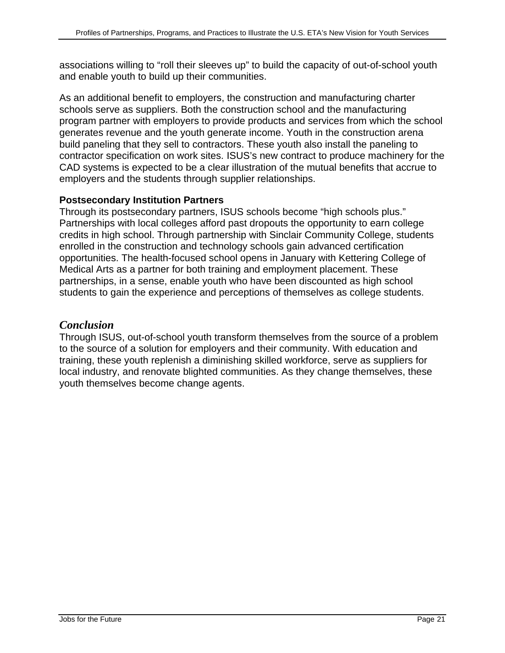associations willing to "roll their sleeves up" to build the capacity of out-of-school youth and enable youth to build up their communities.

As an additional benefit to employers, the construction and manufacturing charter schools serve as suppliers. Both the construction school and the manufacturing program partner with employers to provide products and services from which the school generates revenue and the youth generate income. Youth in the construction arena build paneling that they sell to contractors. These youth also install the paneling to contractor specification on work sites. ISUS's new contract to produce machinery for the CAD systems is expected to be a clear illustration of the mutual benefits that accrue to employers and the students through supplier relationships.

#### **Postsecondary Institution Partners**

Through its postsecondary partners, ISUS schools become "high schools plus." Partnerships with local colleges afford past dropouts the opportunity to earn college credits in high school. Through partnership with Sinclair Community College, students enrolled in the construction and technology schools gain advanced certification opportunities. The health-focused school opens in January with Kettering College of Medical Arts as a partner for both training and employment placement. These partnerships, in a sense, enable youth who have been discounted as high school students to gain the experience and perceptions of themselves as college students.

### *Conclusion*

Through ISUS, out-of-school youth transform themselves from the source of a problem to the source of a solution for employers and their community. With education and training, these youth replenish a diminishing skilled workforce, serve as suppliers for local industry, and renovate blighted communities. As they change themselves, these youth themselves become change agents.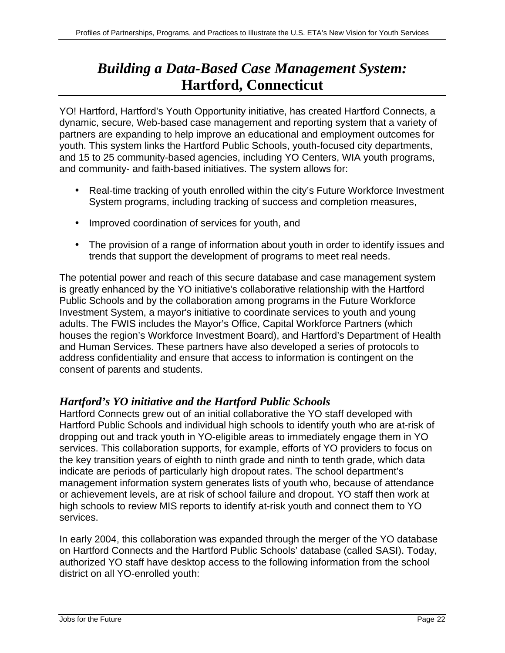# *Building a Data-Based Case Management System:* **Hartford, Connecticut**

YO! Hartford, Hartford's Youth Opportunity initiative, has created Hartford Connects, a dynamic, secure, Web-based case management and reporting system that a variety of partners are expanding to help improve an educational and employment outcomes for youth. This system links the Hartford Public Schools, youth-focused city departments, and 15 to 25 community-based agencies, including YO Centers, WIA youth programs, and community- and faith-based initiatives. The system allows for:

- Real-time tracking of youth enrolled within the city's Future Workforce Investment System programs, including tracking of success and completion measures,
- Improved coordination of services for youth, and
- The provision of a range of information about youth in order to identify issues and trends that support the development of programs to meet real needs.

The potential power and reach of this secure database and case management system is greatly enhanced by the YO initiative's collaborative relationship with the Hartford Public Schools and by the collaboration among programs in the Future Workforce Investment System, a mayor's initiative to coordinate services to youth and young adults. The FWIS includes the Mayor's Office, Capital Workforce Partners (which houses the region's Workforce Investment Board), and Hartford's Department of Health and Human Services. These partners have also developed a series of protocols to address confidentiality and ensure that access to information is contingent on the consent of parents and students.

# *Hartford's YO initiative and the Hartford Public Schools*

Hartford Connects grew out of an initial collaborative the YO staff developed with Hartford Public Schools and individual high schools to identify youth who are at-risk of dropping out and track youth in YO-eligible areas to immediately engage them in YO services. This collaboration supports, for example, efforts of YO providers to focus on the key transition years of eighth to ninth grade and ninth to tenth grade, which data indicate are periods of particularly high dropout rates. The school department's management information system generates lists of youth who, because of attendance or achievement levels, are at risk of school failure and dropout. YO staff then work at high schools to review MIS reports to identify at-risk youth and connect them to YO services.

In early 2004, this collaboration was expanded through the merger of the YO database on Hartford Connects and the Hartford Public Schools' database (called SASI). Today, authorized YO staff have desktop access to the following information from the school district on all YO-enrolled youth: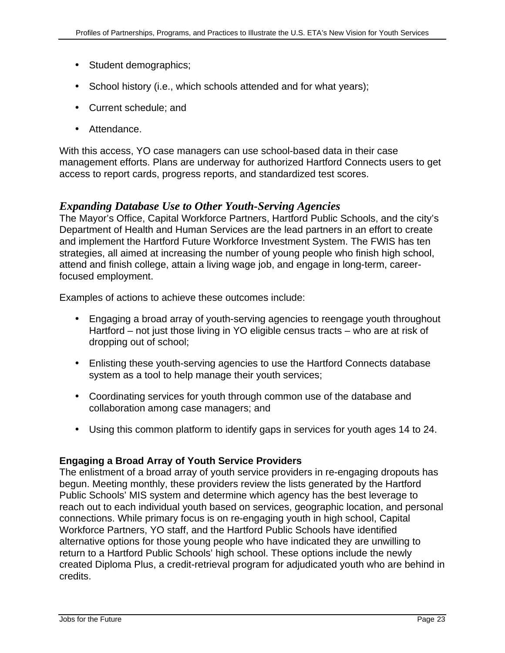- Student demographics;
- School history (i.e., which schools attended and for what years);
- Current schedule; and
- Attendance.

With this access, YO case managers can use school-based data in their case management efforts. Plans are underway for authorized Hartford Connects users to get access to report cards, progress reports, and standardized test scores.

#### *Expanding Database Use to Other Youth-Serving Agencies*

The Mayor's Office, Capital Workforce Partners, Hartford Public Schools, and the city's Department of Health and Human Services are the lead partners in an effort to create and implement the Hartford Future Workforce Investment System. The FWIS has ten strategies, all aimed at increasing the number of young people who finish high school, attend and finish college, attain a living wage job, and engage in long-term, careerfocused employment.

Examples of actions to achieve these outcomes include:

- Engaging a broad array of youth-serving agencies to reengage youth throughout Hartford – not just those living in YO eligible census tracts – who are at risk of dropping out of school;
- Enlisting these youth-serving agencies to use the Hartford Connects database system as a tool to help manage their youth services;
- Coordinating services for youth through common use of the database and collaboration among case managers; and
- Using this common platform to identify gaps in services for youth ages 14 to 24.

#### **Engaging a Broad Array of Youth Service Providers**

The enlistment of a broad array of youth service providers in re-engaging dropouts has begun. Meeting monthly, these providers review the lists generated by the Hartford Public Schools' MIS system and determine which agency has the best leverage to reach out to each individual youth based on services, geographic location, and personal connections. While primary focus is on re-engaging youth in high school, Capital Workforce Partners, YO staff, and the Hartford Public Schools have identified alternative options for those young people who have indicated they are unwilling to return to a Hartford Public Schools' high school. These options include the newly created Diploma Plus, a credit-retrieval program for adjudicated youth who are behind in credits.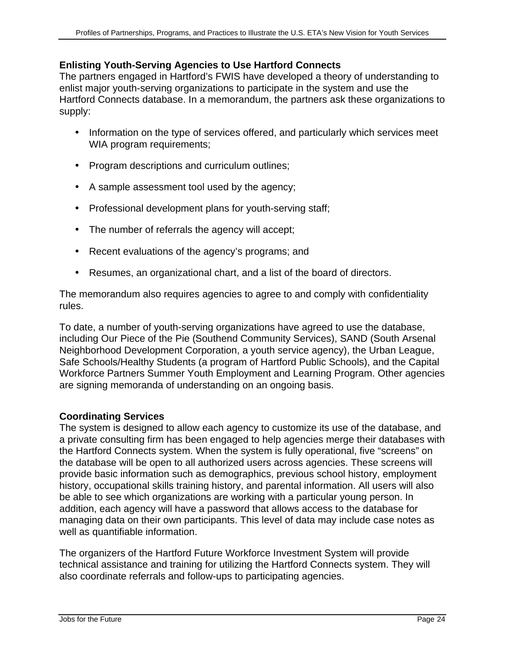#### **Enlisting Youth-Serving Agencies to Use Hartford Connects**

The partners engaged in Hartford's FWIS have developed a theory of understanding to enlist major youth-serving organizations to participate in the system and use the Hartford Connects database. In a memorandum, the partners ask these organizations to supply:

- Information on the type of services offered, and particularly which services meet WIA program requirements;
- Program descriptions and curriculum outlines;
- A sample assessment tool used by the agency;
- Professional development plans for youth-serving staff;
- The number of referrals the agency will accept;
- Recent evaluations of the agency's programs; and
- Resumes, an organizational chart, and a list of the board of directors.

The memorandum also requires agencies to agree to and comply with confidentiality rules.

To date, a number of youth-serving organizations have agreed to use the database, including Our Piece of the Pie (Southend Community Services), SAND (South Arsenal Neighborhood Development Corporation, a youth service agency), the Urban League, Safe Schools/Healthy Students (a program of Hartford Public Schools), and the Capital Workforce Partners Summer Youth Employment and Learning Program. Other agencies are signing memoranda of understanding on an ongoing basis.

#### **Coordinating Services**

The system is designed to allow each agency to customize its use of the database, and a private consulting firm has been engaged to help agencies merge their databases with the Hartford Connects system. When the system is fully operational, five "screens" on the database will be open to all authorized users across agencies. These screens will provide basic information such as demographics, previous school history, employment history, occupational skills training history, and parental information. All users will also be able to see which organizations are working with a particular young person. In addition, each agency will have a password that allows access to the database for managing data on their own participants. This level of data may include case notes as well as quantifiable information.

The organizers of the Hartford Future Workforce Investment System will provide technical assistance and training for utilizing the Hartford Connects system. They will also coordinate referrals and follow-ups to participating agencies.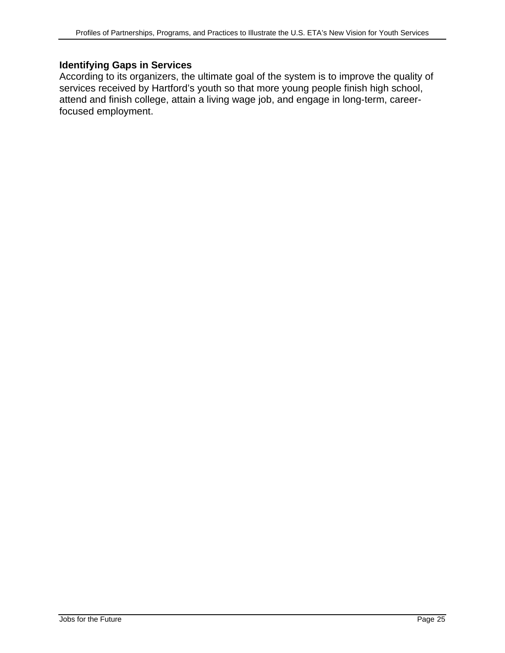### **Identifying Gaps in Services**

According to its organizers, the ultimate goal of the system is to improve the quality of services received by Hartford's youth so that more young people finish high school, attend and finish college, attain a living wage job, and engage in long-term, careerfocused employment.